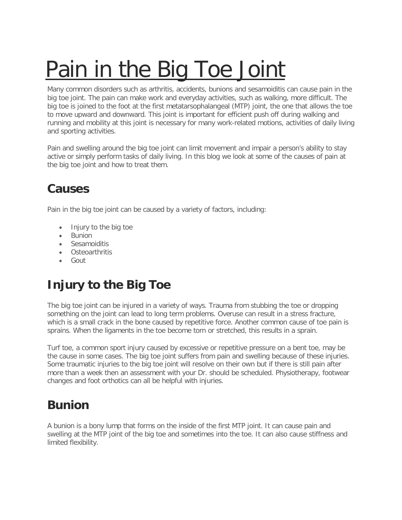# [Pain in the Big Toe Joint](https://www.pedorthic.ca/pain-big-toe-joint/)

Many common disorders such as arthritis, accidents, bunions and sesamoiditis can cause pain in the big toe joint. The pain can make work and everyday activities, such as walking, more difficult. The big toe is joined to the foot at the first metatarsophalangeal (MTP) joint, the one that allows the toe to move upward and downward. This joint is important for efficient push off during walking and running and mobility at this joint is necessary for many work-related motions, activities of daily living and sporting activities.

Pain and swelling around the big toe joint can limit movement and impair a person's ability to stay active or simply perform tasks of daily living. In this blog we look at some of the causes of pain at the big toe joint and how to treat them.

#### **Causes**

Pain in the big toe joint can be caused by a variety of factors, including:

- Injury to the big toe
- Bunion
- Sesamoiditis
- Osteoarthritis
- Gout

## **Injury to the Big Toe**

The big toe joint can be injured in a variety of ways. Trauma from stubbing the toe or dropping something on the joint can lead to long term problems. Overuse can result in a stress fracture, which is a small crack in the bone caused by repetitive force. Another common cause of toe pain is sprains. When the ligaments in the toe become torn or stretched, this results in a sprain.

Turf toe, a common sport injury caused by excessive or repetitive pressure on a bent toe, may be the cause in some cases. The big toe joint suffers from pain and swelling because of these injuries. Some traumatic injuries to the big toe joint will resolve on their own but if there is still pain after more than a week then an assessment with your Dr. should be scheduled. Physiotherapy, footwear changes and foot orthotics can all be helpful with injuries.

#### **Bunion**

A bunion is a bony lump that forms on the inside of the first MTP joint. It can cause pain and swelling at the MTP joint of the big toe and sometimes into the toe. It can also cause stiffness and limited flexibility.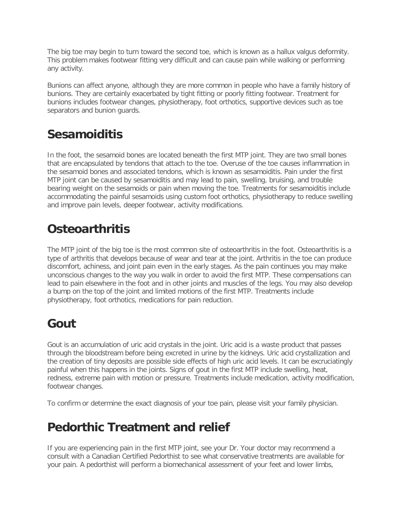The big toe may begin to turn toward the second toe, which is known as a hallux valgus deformity. This problem makes footwear fitting very difficult and can cause pain while walking or performing any activity.

Bunions can affect anyone, although they are more common in people who have a family history of bunions. They are certainly exacerbated by tight fitting or poorly fitting footwear. Treatment for bunions includes footwear changes, physiotherapy, foot orthotics, supportive devices such as toe separators and bunion guards.

#### **Sesamoiditis**

In the foot, the sesamoid bones are located beneath the first MTP joint. They are two small bones that are encapsulated by tendons that attach to the toe. Overuse of the toe causes inflammation in the sesamoid bones and associated tendons, which is known as sesamoiditis. Pain under the first MTP joint can be caused by sesamoiditis and may lead to pain, swelling, bruising, and trouble bearing weight on the sesamoids or pain when moving the toe. Treatments for sesamoiditis include accommodating the painful sesamoids using custom foot orthotics, physiotherapy to reduce swelling and improve pain levels, deeper footwear, activity modifications.

## **Osteoarthritis**

The MTP joint of the big toe is the most common site of osteoarthritis in the foot. Osteoarthritis is a type of arthritis that develops because of wear and tear at the joint. Arthritis in the toe can produce discomfort, achiness, and joint pain even in the early stages. As the pain continues you may make unconscious changes to the way you walk in order to avoid the first MTP. These compensations can lead to pain elsewhere in the foot and in other joints and muscles of the legs. You may also develop a bump on the top of the joint and limited motions of the first MTP. Treatments include physiotherapy, foot orthotics, medications for pain reduction.

## **Gout**

Gout is an accumulation of uric acid crystals in the joint. Uric acid is a waste product that passes through the bloodstream before being excreted in urine by the kidneys. Uric acid crystallization and the creation of tiny deposits are possible side effects of high uric acid levels. It can be excruciatingly painful when this happens in the joints. Signs of gout in the first MTP include swelling, heat, redness, extreme pain with motion or pressure. Treatments include medication, activity modification, footwear changes.

To confirm or determine the exact diagnosis of your toe pain, please visit your family physician.

#### **Pedorthic Treatment and relief**

If you are experiencing pain in the first MTP joint, see your Dr. Your doctor may recommend a consult with a Canadian Certified Pedorthist to see what conservative treatments are available for your pain. A pedorthist will perform a biomechanical assessment of your feet and lower limbs,